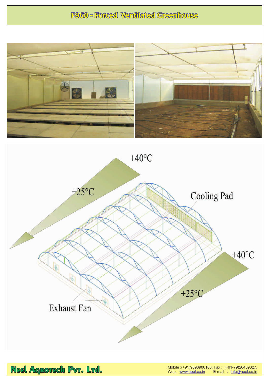